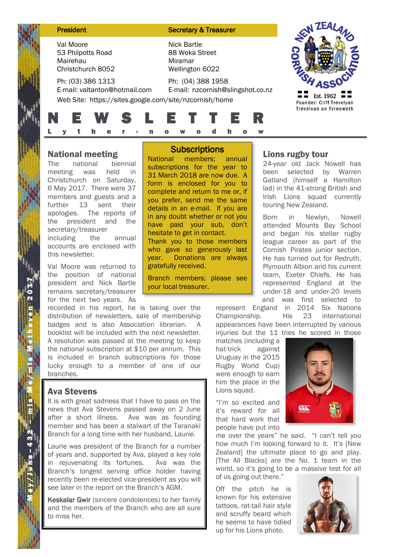| <b>President</b>                                                                                             | <b>Secretary &amp; Treasurer</b>                                   |                                       |
|--------------------------------------------------------------------------------------------------------------|--------------------------------------------------------------------|---------------------------------------|
| Val Moore<br>53 Philpotts Road<br>Mairehau<br>Christchurch 8052                                              | <b>Nick Bartle</b><br>88 Weka Street<br>Miramar<br>Wellington 6022 |                                       |
| Ph: (03) 386 1313<br>E-mail: valtanton@hotmail.com<br>Web Site: https://sites.google.com/site/nzcornish/home | Ph: (04) 388 1958<br>E-mail: nzcornish@slingshot.co.nz             | Est. 1962<br>Founder: Cliff Trevelyan |
| <b>EW</b>                                                                                                    | ETT.<br>Ε<br>a                                                     | Trevelyan an Tyrnoweth                |

### National meeting

The national biennial meeting was held in Christchurch on Saturday, 6 May 2017. There were 37 members and guests and a further 13 sent their apologies. The reports of the president and the secretary/treasurer including the annual accounts are enclosed with this newsletter.

Val Moore was returned to the position of national president and Nick Bartle remains secretary/treasurer for the next two years. As

recorded in his report, he is taking over the distribution of newsletters, sale of membership badges and is also Association librarian. A booklist will be included with the next newsletter. A resolution was passed at the meeting to keep the national subscription at \$10 per annum. This is included in branch subscriptions for those lucky enough to a member of one of our branches.

## Ava Stevens

It is with great sadness that I have to pass on the news that Ava Stevens passed away on 2 June after a short illness. Ava was as founding member and has been a stalwart of the Taranaki Branch for a long time with her husband, Laurie.

Laurie was president of the Branch for a number of years and, supported by Ava, played a key role in rejuvenating its fortunes. Ava was the Branch's longest serving office holder having recently been re-elected vice-president as you will see later in the report on the Branch's AGM.

Keskalar Gwir (sincere condolences) to her family and the members of the Branch who are all sure to miss her.

# **Subscriptions**

National members; annual subscriptions for the year to 31 March 2018 are now due. A form is enclosed for you to complete and return to me or, if you prefer, send me the same details in an e-mail. If you are in any doubt whether or not you have paid your sub, don't hesitate to get in contact. Thank you to those members who gave so generously last year. Donations are always gratefully received.

Branch members; please see your local treasurer.

# Lions rugby tour

24-year old Jack Nowell has been selected by Warren Gatland (himself a Hamilton lad) in the 41-strong British and Irish Lions squad currently touring New Zealand.

Born in Newlyn, Nowell attended Mounts Bay School and began his stellar rugby league career as part of the Cornish Pirates junior section. He has turned out for Redruth, Plymouth Albion and his current team, Exeter Chiefs. He has represented England at the under-18 and under-20 levels and was first selected to

represent England in 2014 Six Nations Championship. His 23 international appearances have been interrupted by various injuries but the 11 tries he scored in those

matches (including a hat-trick against Uruguay in the 2015 Rugby World Cup) were enough to earn him the place in the Lions squad.

"I'm so excited and it's reward for all that hard work that people have put into



me over the years" he said. "I can't tell you how much I'm looking forward to it. It's [New Zealand] the ultimate place to go and play. [The All Blacks] are the No. 1 team in the world, so it's going to be a massive test for all of us going out there."

Off the pitch he is known for his extensive tattoos, rat-tail hair style and scruffy beard which he seems to have tidied up for his Lions photo.

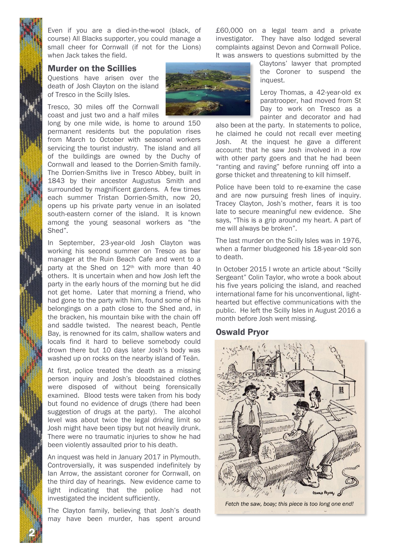Even if you are a died-in-the-wool (black, of course) All Blacks supporter, you could manage a small cheer for Cornwall (if not for the Lions) when Jack takes the field.

#### Murder on the Scillies

Questions have arisen over the death of Josh Clayton on the island of Tresco in the Scilly Isles.

Tresco, 30 miles off the Cornwall coast and just two and a half miles

long by one mile wide, is home to around 150 permanent residents but the population rises from March to October with seasonal workers servicing the tourist industry. The island and all of the buildings are owned by the Duchy of Cornwall and leased to the Dorrien-Smith family. The Dorrien-Smiths live in Tresco Abbey, built in 1843 by their ancestor Augustus Smith and surrounded by magnificent gardens. A few times each summer Tristan Dorrien-Smith, now 20, opens up his private party venue in an isolated south-eastern corner of the island. It is known among the young seasonal workers as "the Shed".

In September, 23-year-old Josh Clayton was working his second summer on Tresco as bar manager at the Ruin Beach Cafe and went to a party at the Shed on  $12<sup>th</sup>$  with more than 40 others. It is uncertain when and how Josh left the party in the early hours of the morning but he did not get home. Later that morning a friend, who had gone to the party with him, found some of his belongings on a path close to the Shed and, in the bracken, his mountain bike with the chain off and saddle twisted. The nearest beach, Pentle Bay, is renowned for its calm, shallow waters and locals find it hard to believe somebody could drown there but 10 days later Josh's body was washed up on rocks on the nearby island of Teän.

At first, police treated the death as a missing person inquiry and Josh's bloodstained clothes were disposed of without being forensically examined. Blood tests were taken from his body but found no evidence of drugs (there had been suggestion of drugs at the party). The alcohol level was about twice the legal driving limit so Josh might have been tipsy but not heavily drunk. There were no traumatic injuries to show he had been violently assaulted prior to his death.

An inquest was held in January 2017 in Plymouth. Controversially, it was suspended indefinitely by Ian Arrow, the assistant coroner for Cornwall, on the third day of hearings. New evidence came to light indicating that the police had not investigated the incident sufficiently.

The Clayton family, believing that Josh's death may have been murder, has spent around

2 N

£60,000 on a legal team and a private investigator. They have also lodged several complaints against Devon and Cornwall Police. It was answers to questions submitted by the

> Claytons' lawyer that prompted the Coroner to suspend the inquest.

> Leroy Thomas, a 42-year-old ex paratrooper, had moved from St Day to work on Tresco as a painter and decorator and had

also been at the party. In statements to police, he claimed he could not recall ever meeting Josh. At the inquest he gave a different account: that he saw Josh involved in a row with other party goers and that he had been "ranting and raving" before running off into a gorse thicket and threatening to kill himself.

Police have been told to re-examine the case and are now pursuing fresh lines of inquiry. Tracey Clayton, Josh's mother, fears it is too late to secure meaningful new evidence. She says, "This is a grip around my heart. A part of me will always be broken".

The last murder on the Scilly Isles was in 1976, when a farmer bludgeoned his 18-year-old son to death.

In October 2015 I wrote an article about "Scilly Sergeant" Colin Taylor, who wrote a book about his five years policing the island, and reached international fame for his unconventional, lighthearted but effective communications with the public. He left the Scilly Isles in August 2016 a month before Josh went missing.

#### Oswald Pryor



*Fetch the saw, boay; this piece is too long one end!*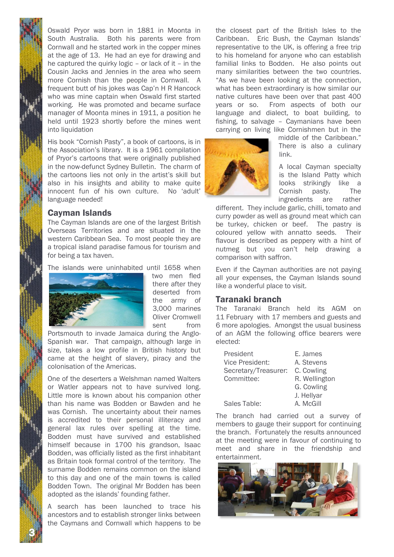Oswald Pryor was born in 1881 in Moonta in South Australia. Both his parents were from Cornwall and he started work in the copper mines at the age of 13. He had an eye for drawing and he captured the quirky logic – or lack of it – in the Cousin Jacks and Jennies in the area who seem more Cornish than the people in Cornwall. A frequent butt of his jokes was Cap'n H R Hancock who was mine captain when Oswald first started working. He was promoted and became surface manager of Moonta mines in 1911, a position he held until 1923 shortly before the mines went into liquidation

His book "Cornish Pasty", a book of cartoons, is in the Association's library. It is a 1961 compilation of Pryor's cartoons that were originally published in the now-defunct Sydney Bulletin. The charm of the cartoons lies not only in the artist's skill but also in his insights and ability to make quite innocent fun of his own culture. No 'adult' language needed!

#### Cayman Islands

The Cayman Islands are one of the largest British Overseas Territories and are situated in the western Caribbean Sea. To most people they are a tropical island paradise famous for tourism and for being a tax haven.

The islands were uninhabited until 1658 when



two men fled there after they deserted from the army of 3,000 marines Oliver Cromwell sent from

Portsmouth to invade Jamaica during the Anglo-Spanish war. That campaign, although large in size, takes a low profile in British history but came at the height of slavery, piracy and the colonisation of the Americas.

One of the deserters a Welshman named Walters or Watler appears not to have survived long. Little more is known about his companion other than his name was Bodden or Bawden and he was Cornish. The uncertainty about their names is accredited to their personal illiteracy and general lax rules over spelling at the time. Bodden must have survived and established himself because in 1700 his grandson, Isaac Bodden, was officially listed as the first inhabitant as Britain took formal control of the territory. The surname Bodden remains common on the island to this day and one of the main towns is called Bodden Town. The original Mr Bodden has been adopted as the islands' founding father.

A search has been launched to trace his ancestors and to establish stronger links between the Caymans and Cornwall which happens to be

3 N

the closest part of the British Isles to the Caribbean. Eric Bush, the Cayman Islands' representative to the UK, is offering a free trip to his homeland for anyone who can establish familial links to Bodden. He also points out many similarities between the two countries. "As we have been looking at the connection, what has been extraordinary is how similar our native cultures have been over that past 400 years or so. From aspects of both our language and dialect, to boat building, to fishing, to salvage – Caymanians have been carrying on living like Cornishmen but in the



middle of the Caribbean." There is also a culinary link.

A local Cayman specialty is the Island Patty which looks strikingly like a Cornish pasty. The ingredients are rather

different. They include garlic, chilli, tomato and curry powder as well as ground meat which can be turkey, chicken or beef. The pastry is coloured yellow with annatto seeds. Their flavour is described as peppery with a hint of nutmeg but you can't help drawing a comparison with saffron.

Even if the Cayman authorities are not paying all your expenses, the Cayman Islands sound like a wonderful place to visit.

#### Taranaki branch

The Taranaki Branch held its AGM on 11 February with 17 members and guests and 6 more apologies. Amongst the usual business of an AGM the following office bearers were elected:

| President            | E. James      |  |
|----------------------|---------------|--|
| Vice President:      | A. Stevens    |  |
| Secretary/Treasurer: | C. Cowling    |  |
| Committee:           | R. Wellington |  |
|                      | G. Cowling    |  |
|                      | J. Hellyar    |  |
| Sales Table:         | A. McGill     |  |

The branch had carried out a survey of members to gauge their support for continuing the branch. Fortunately the results announced at the meeting were in favour of continuing to meet and share in the friendship and entertainment.